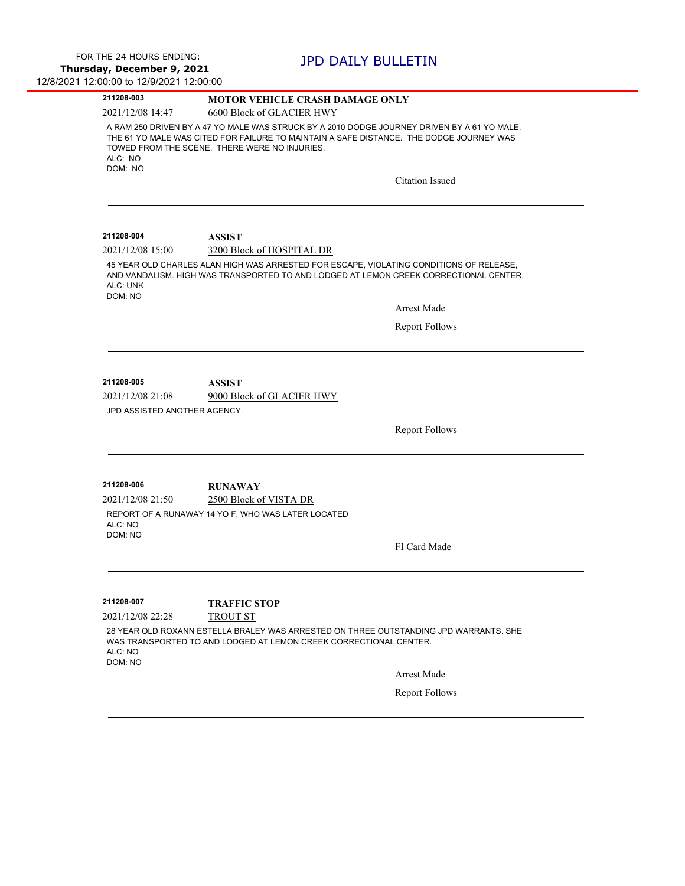$\overline{\phantom{0}}$ 

 $\overline{\phantom{0}}$ 

| 211208-003                                                                                                             | <b>MOTOR VEHICLE CRASH DAMAGE ONLY</b>                                                                                                                                                                                                                            |
|------------------------------------------------------------------------------------------------------------------------|-------------------------------------------------------------------------------------------------------------------------------------------------------------------------------------------------------------------------------------------------------------------|
| 2021/12/08 14:47                                                                                                       | 6600 Block of GLACIER HWY                                                                                                                                                                                                                                         |
| ALC: NO<br>DOM: NO                                                                                                     | A RAM 250 DRIVEN BY A 47 YO MALE WAS STRUCK BY A 2010 DODGE JOURNEY DRIVEN BY A 61 YO MALE.<br>THE 61 YO MALE WAS CITED FOR FAILURE TO MAINTAIN A SAFE DISTANCE. THE DODGE JOURNEY WAS<br>TOWED FROM THE SCENE. THERE WERE NO INJURIES.<br><b>Citation Issued</b> |
|                                                                                                                        |                                                                                                                                                                                                                                                                   |
| 211208-004                                                                                                             | ASSIST                                                                                                                                                                                                                                                            |
| 2021/12/08 15:00                                                                                                       | 3200 Block of HOSPITAL DR                                                                                                                                                                                                                                         |
| ALC: UNK<br>DOM: NO                                                                                                    | 45 YEAR OLD CHARLES ALAN HIGH WAS ARRESTED FOR ESCAPE, VIOLATING CONDITIONS OF RELEASE,<br>AND VANDALISM. HIGH WAS TRANSPORTED TO AND LODGED AT LEMON CREEK CORRECTIONAL CENTER.                                                                                  |
|                                                                                                                        | Arrest Made                                                                                                                                                                                                                                                       |
|                                                                                                                        | <b>Report Follows</b>                                                                                                                                                                                                                                             |
|                                                                                                                        |                                                                                                                                                                                                                                                                   |
| 211208-005<br>2021/12/08 21:08<br>JPD ASSISTED ANOTHER AGENCY.<br>211208-006<br>2021/12/08 21:50<br>ALC: NO<br>DOM: NO | ASSIST<br>9000 Block of GLACIER HWY<br><b>Report Follows</b><br><b>RUNAWAY</b><br>2500 Block of VISTA DR<br>REPORT OF A RUNAWAY 14 YO F, WHO WAS LATER LOCATED<br>FI Card Made                                                                                    |
|                                                                                                                        |                                                                                                                                                                                                                                                                   |
|                                                                                                                        |                                                                                                                                                                                                                                                                   |
| 211208-007                                                                                                             | <b>TRAFFIC STOP</b>                                                                                                                                                                                                                                               |
| 2021/12/08 22:28                                                                                                       | TROUT ST                                                                                                                                                                                                                                                          |
| ALC: NO<br>DOM: NO                                                                                                     | 28 YEAR OLD ROXANN ESTELLA BRALEY WAS ARRESTED ON THREE OUTSTANDING JPD WARRANTS. SHE<br>WAS TRANSPORTED TO AND LODGED AT LEMON CREEK CORRECTIONAL CENTER.                                                                                                        |
|                                                                                                                        | <b>Arrest Made</b>                                                                                                                                                                                                                                                |
|                                                                                                                        | <b>Report Follows</b>                                                                                                                                                                                                                                             |
|                                                                                                                        |                                                                                                                                                                                                                                                                   |
|                                                                                                                        |                                                                                                                                                                                                                                                                   |